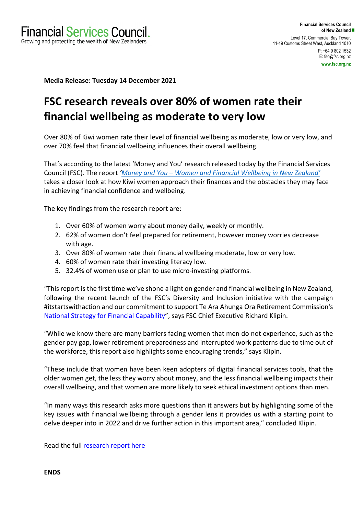**Media Release: Tuesday 14 December 2021**

# **FSC research reveals over 80% of women rate their financial wellbeing as moderate to very low**

Over 80% of Kiwi women rate their level of financial wellbeing as moderate, low or very low, and over 70% feel that financial wellbeing influences their overall wellbeing.

That's according to the latest 'Money and You' research released today by the Financial Services Council (FSC). The report *'Money and You – Women and Financial Wellbeing in New Zealand'* takes a closer look at how Kiwi women approach their finances and the obstacles they may face in achieving financial confidence and wellbeing.

The key findings from the research report are:

- 1. Over 60% of women worry about money daily, weekly or monthly.
- 2. 62% of women don't feel prepared for retirement, however money worries decrease with age.
- 3. Over 80% of women rate their financial wellbeing moderate, low or very low.
- 4. 60% of women rate their investing literacy low.
- 5. 32.4% of women use or plan to use micro-investing platforms.

"This report is the first time we've shone a light on gender and financial wellbeing in New Zealand, following the recent launch of the FSC's Diversity and Inclusion initiative with the campaign #itstartswithaction and our commitment to support Te Ara Ahunga Ora Retirement Commission's National Strategy for Financial Capability", says FSC Chief Executive Richard Klipin.

"While we know there are many barriers facing women that men do not experience, such as the gender pay gap, lower retirement preparedness and interrupted work patterns due to time out of the workforce, this report also highlights some encouraging trends," says Klipin.

"These include that women have been keen adopters of digital financial services tools, that the older women get, the less they worry about money, and the less financial wellbeing impacts their overall wellbeing, and that women are more likely to seek ethical investment options than men.

"In many ways this research asks more questions than it answers but by highlighting some of the key issues with financial wellbeing through a gender lens it provides us with a starting point to delve deeper into in 2022 and drive further action in this important area," concluded Klipin.

Read the full research report here